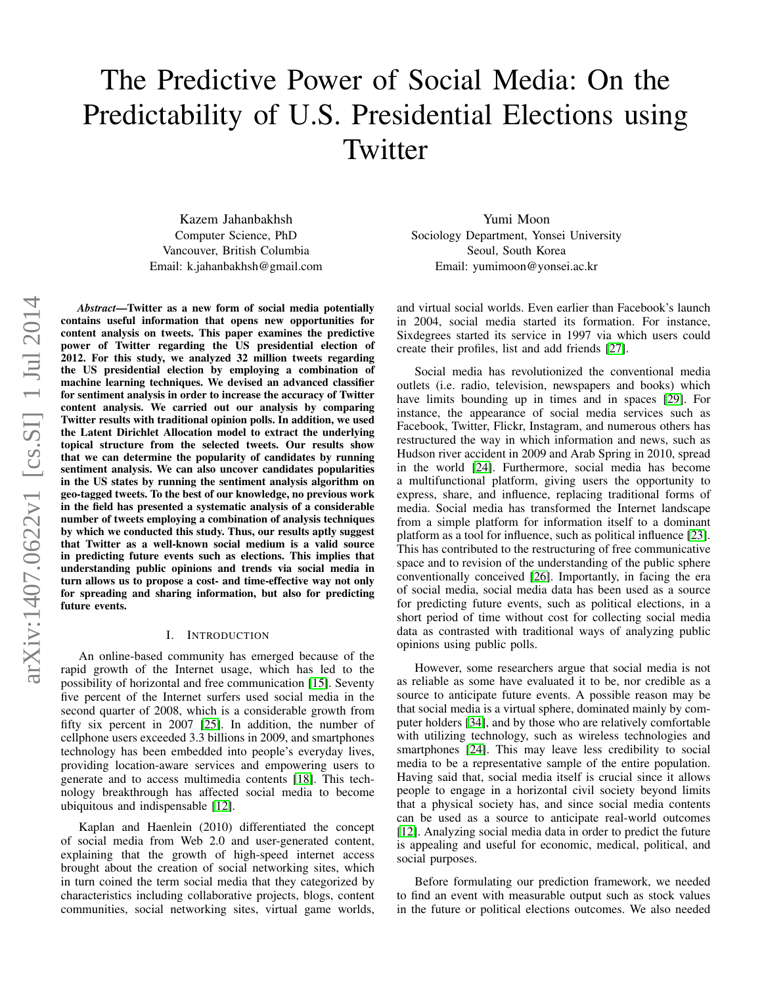# The Predictive Power of Social Media: On the Predictability of U.S. Presidential Elections using **Twitter**

Kazem Jahanbakhsh Computer Science, PhD Vancouver, British Columbia Email: k.jahanbakhsh@gmail.com

*Abstract*—Twitter as a new form of social media potentially contains useful information that opens new opportunities for content analysis on tweets. This paper examines the predictive power of Twitter regarding the US presidential election of 2012. For this study, we analyzed 32 million tweets regarding the US presidential election by employing a combination of machine learning techniques. We devised an advanced classifier for sentiment analysis in order to increase the accuracy of Twitter content analysis. We carried out our analysis by comparing Twitter results with traditional opinion polls. In addition, we used the Latent Dirichlet Allocation model to extract the underlying topical structure from the selected tweets. Our results show that we can determine the popularity of candidates by running sentiment analysis. We can also uncover candidates popularities in the US states by running the sentiment analysis algorithm on geo-tagged tweets. To the best of our knowledge, no previous work in the field has presented a systematic analysis of a considerable number of tweets employing a combination of analysis techniques by which we conducted this study. Thus, our results aptly suggest that Twitter as a well-known social medium is a valid source in predicting future events such as elections. This implies that understanding public opinions and trends via social media in turn allows us to propose a cost- and time-effective way not only for spreading and sharing information, but also for predicting future events.

# I. INTRODUCTION

An online-based community has emerged because of the rapid growth of the Internet usage, which has led to the possibility of horizontal and free communication [\[15\]](#page-9-0). Seventy five percent of the Internet surfers used social media in the second quarter of 2008, which is a considerable growth from fifty six percent in 2007 [\[25\]](#page-9-1). In addition, the number of cellphone users exceeded 3.3 billions in 2009, and smartphones technology has been embedded into people's everyday lives, providing location-aware services and empowering users to generate and to access multimedia contents [\[18\]](#page-9-2). This technology breakthrough has affected social media to become ubiquitous and indispensable [\[12\]](#page-9-3).

Kaplan and Haenlein (2010) differentiated the concept of social media from Web 2.0 and user-generated content, explaining that the growth of high-speed internet access brought about the creation of social networking sites, which in turn coined the term social media that they categorized by characteristics including collaborative projects, blogs, content communities, social networking sites, virtual game worlds,

Yumi Moon Sociology Department, Yonsei University Seoul, South Korea Email: yumimoon@yonsei.ac.kr

and virtual social worlds. Even earlier than Facebook's launch in 2004, social media started its formation. For instance, Sixdegrees started its service in 1997 via which users could create their profiles, list and add friends [\[27\]](#page-9-4).

Social media has revolutionized the conventional media outlets (i.e. radio, television, newspapers and books) which have limits bounding up in times and in spaces [\[29\]](#page-9-5). For instance, the appearance of social media services such as Facebook, Twitter, Flickr, Instagram, and numerous others has restructured the way in which information and news, such as Hudson river accident in 2009 and Arab Spring in 2010, spread in the world [\[24\]](#page-9-6). Furthermore, social media has become a multifunctional platform, giving users the opportunity to express, share, and influence, replacing traditional forms of media. Social media has transformed the Internet landscape from a simple platform for information itself to a dominant platform as a tool for influence, such as political influence [\[23\]](#page-9-7). This has contributed to the restructuring of free communicative space and to revision of the understanding of the public sphere conventionally conceived [\[26\]](#page-9-8). Importantly, in facing the era of social media, social media data has been used as a source for predicting future events, such as political elections, in a short period of time without cost for collecting social media data as contrasted with traditional ways of analyzing public opinions using public polls.

However, some researchers argue that social media is not as reliable as some have evaluated it to be, nor credible as a source to anticipate future events. A possible reason may be that social media is a virtual sphere, dominated mainly by computer holders [\[34\]](#page-9-9), and by those who are relatively comfortable with utilizing technology, such as wireless technologies and smartphones [\[24\]](#page-9-6). This may leave less credibility to social media to be a representative sample of the entire population. Having said that, social media itself is crucial since it allows people to engage in a horizontal civil society beyond limits that a physical society has, and since social media contents can be used as a source to anticipate real-world outcomes [\[12\]](#page-9-3). Analyzing social media data in order to predict the future is appealing and useful for economic, medical, political, and social purposes.

Before formulating our prediction framework, we needed to find an event with measurable output such as stock values in the future or political elections outcomes. We also needed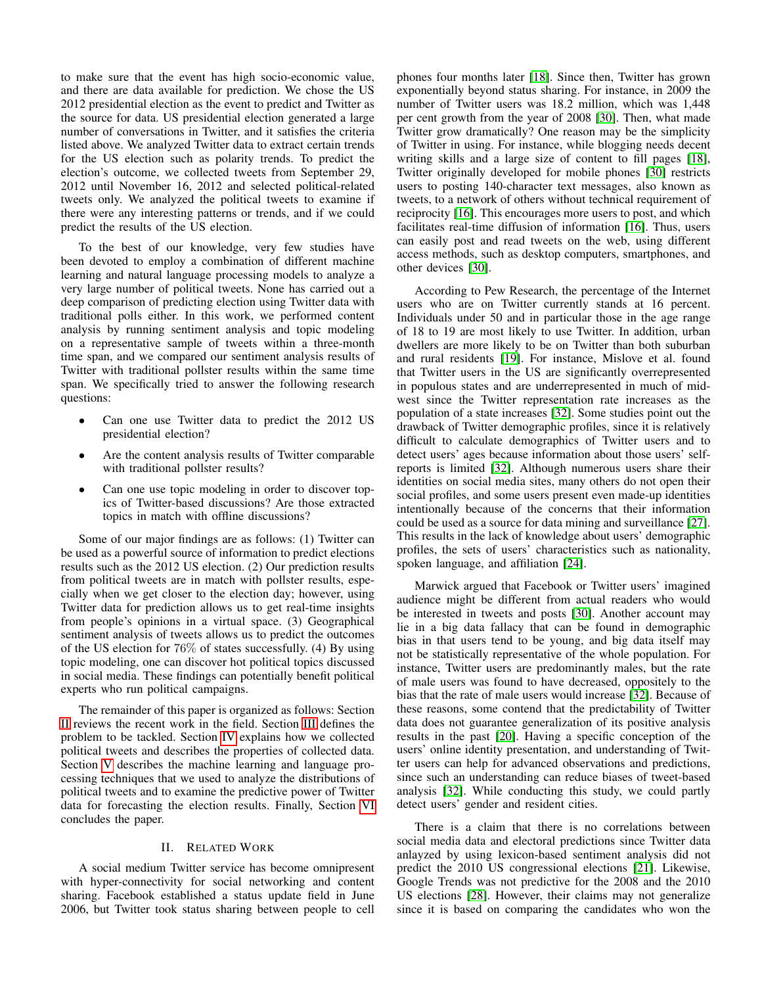to make sure that the event has high socio-economic value, and there are data available for prediction. We chose the US 2012 presidential election as the event to predict and Twitter as the source for data. US presidential election generated a large number of conversations in Twitter, and it satisfies the criteria listed above. We analyzed Twitter data to extract certain trends for the US election such as polarity trends. To predict the election's outcome, we collected tweets from September 29, 2012 until November 16, 2012 and selected political-related tweets only. We analyzed the political tweets to examine if there were any interesting patterns or trends, and if we could predict the results of the US election.

To the best of our knowledge, very few studies have been devoted to employ a combination of different machine learning and natural language processing models to analyze a very large number of political tweets. None has carried out a deep comparison of predicting election using Twitter data with traditional polls either. In this work, we performed content analysis by running sentiment analysis and topic modeling on a representative sample of tweets within a three-month time span, and we compared our sentiment analysis results of Twitter with traditional pollster results within the same time span. We specifically tried to answer the following research questions:

- Can one use Twitter data to predict the 2012 US presidential election?
- Are the content analysis results of Twitter comparable with traditional pollster results?
- Can one use topic modeling in order to discover topics of Twitter-based discussions? Are those extracted topics in match with offline discussions?

Some of our major findings are as follows: (1) Twitter can be used as a powerful source of information to predict elections results such as the 2012 US election. (2) Our prediction results from political tweets are in match with pollster results, especially when we get closer to the election day; however, using Twitter data for prediction allows us to get real-time insights from people's opinions in a virtual space. (3) Geographical sentiment analysis of tweets allows us to predict the outcomes of the US election for 76% of states successfully. (4) By using topic modeling, one can discover hot political topics discussed in social media. These findings can potentially benefit political experts who run political campaigns.

The remainder of this paper is organized as follows: Section [II](#page-1-0) reviews the recent work in the field. Section [III](#page-2-0) defines the problem to be tackled. Section [IV](#page-2-1) explains how we collected political tweets and describes the properties of collected data. Section [V](#page-3-0) describes the machine learning and language processing techniques that we used to analyze the distributions of political tweets and to examine the predictive power of Twitter data for forecasting the election results. Finally, Section [VI](#page-8-0) concludes the paper.

# II. RELATED WORK

<span id="page-1-0"></span>A social medium Twitter service has become omnipresent with hyper-connectivity for social networking and content sharing. Facebook established a status update field in June 2006, but Twitter took status sharing between people to cell phones four months later [\[18\]](#page-9-2). Since then, Twitter has grown exponentially beyond status sharing. For instance, in 2009 the number of Twitter users was 18.2 million, which was 1,448 per cent growth from the year of 2008 [\[30\]](#page-9-10). Then, what made Twitter grow dramatically? One reason may be the simplicity of Twitter in using. For instance, while blogging needs decent writing skills and a large size of content to fill pages [\[18\]](#page-9-2), Twitter originally developed for mobile phones [\[30\]](#page-9-10) restricts users to posting 140-character text messages, also known as tweets, to a network of others without technical requirement of reciprocity [\[16\]](#page-9-11). This encourages more users to post, and which facilitates real-time diffusion of information [\[16\]](#page-9-11). Thus, users can easily post and read tweets on the web, using different access methods, such as desktop computers, smartphones, and other devices [\[30\]](#page-9-10).

According to Pew Research, the percentage of the Internet users who are on Twitter currently stands at 16 percent. Individuals under 50 and in particular those in the age range of 18 to 19 are most likely to use Twitter. In addition, urban dwellers are more likely to be on Twitter than both suburban and rural residents [\[19\]](#page-9-12). For instance, Mislove et al. found that Twitter users in the US are significantly overrepresented in populous states and are underrepresented in much of midwest since the Twitter representation rate increases as the population of a state increases [\[32\]](#page-9-13). Some studies point out the drawback of Twitter demographic profiles, since it is relatively difficult to calculate demographics of Twitter users and to detect users' ages because information about those users' selfreports is limited [\[32\]](#page-9-13). Although numerous users share their identities on social media sites, many others do not open their social profiles, and some users present even made-up identities intentionally because of the concerns that their information could be used as a source for data mining and surveillance [\[27\]](#page-9-4). This results in the lack of knowledge about users' demographic profiles, the sets of users' characteristics such as nationality, spoken language, and affiliation [\[24\]](#page-9-6).

Marwick argued that Facebook or Twitter users' imagined audience might be different from actual readers who would be interested in tweets and posts [\[30\]](#page-9-10). Another account may lie in a big data fallacy that can be found in demographic bias in that users tend to be young, and big data itself may not be statistically representative of the whole population. For instance, Twitter users are predominantly males, but the rate of male users was found to have decreased, oppositely to the bias that the rate of male users would increase [\[32\]](#page-9-13). Because of these reasons, some contend that the predictability of Twitter data does not guarantee generalization of its positive analysis results in the past [\[20\]](#page-9-14). Having a specific conception of the users' online identity presentation, and understanding of Twitter users can help for advanced observations and predictions, since such an understanding can reduce biases of tweet-based analysis [\[32\]](#page-9-13). While conducting this study, we could partly detect users' gender and resident cities.

There is a claim that there is no correlations between social media data and electoral predictions since Twitter data anlayzed by using lexicon-based sentiment analysis did not predict the 2010 US congressional elections [\[21\]](#page-9-15). Likewise, Google Trends was not predictive for the 2008 and the 2010 US elections [\[28\]](#page-9-16). However, their claims may not generalize since it is based on comparing the candidates who won the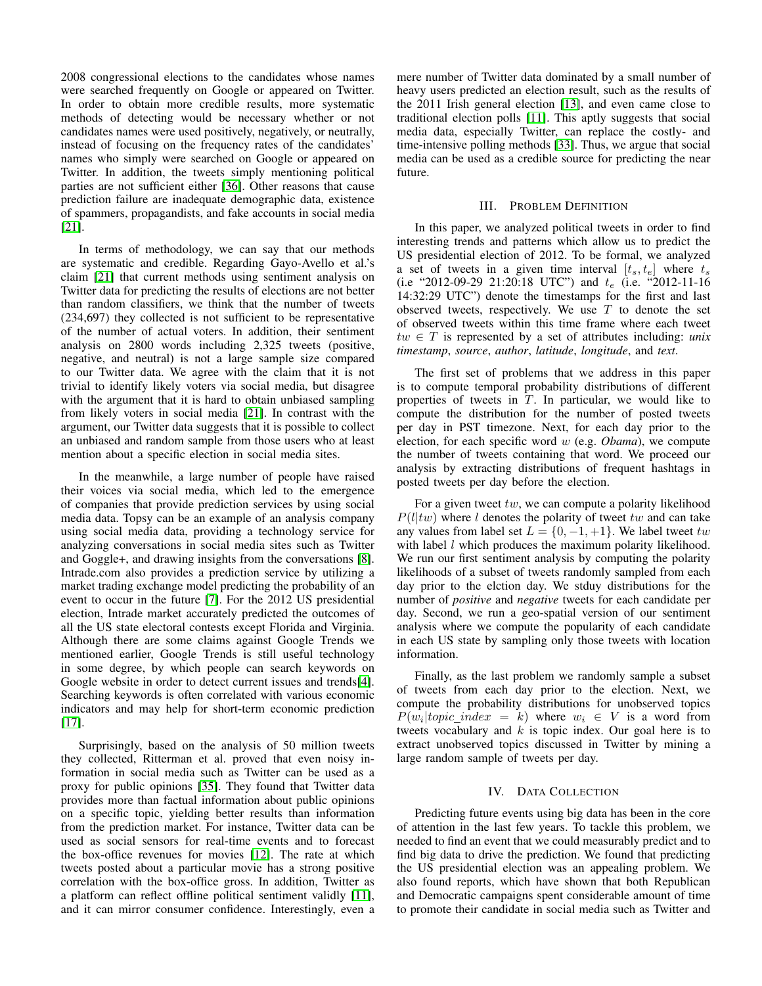2008 congressional elections to the candidates whose names were searched frequently on Google or appeared on Twitter. In order to obtain more credible results, more systematic methods of detecting would be necessary whether or not candidates names were used positively, negatively, or neutrally, instead of focusing on the frequency rates of the candidates' names who simply were searched on Google or appeared on Twitter. In addition, the tweets simply mentioning political parties are not sufficient either [\[36\]](#page-9-17). Other reasons that cause prediction failure are inadequate demographic data, existence of spammers, propagandists, and fake accounts in social media [\[21\]](#page-9-15).

In terms of methodology, we can say that our methods are systematic and credible. Regarding Gayo-Avello et al.'s claim [\[21\]](#page-9-15) that current methods using sentiment analysis on Twitter data for predicting the results of elections are not better than random classifiers, we think that the number of tweets (234,697) they collected is not sufficient to be representative of the number of actual voters. In addition, their sentiment analysis on 2800 words including 2,325 tweets (positive, negative, and neutral) is not a large sample size compared to our Twitter data. We agree with the claim that it is not trivial to identify likely voters via social media, but disagree with the argument that it is hard to obtain unbiased sampling from likely voters in social media [\[21\]](#page-9-15). In contrast with the argument, our Twitter data suggests that it is possible to collect an unbiased and random sample from those users who at least mention about a specific election in social media sites.

In the meanwhile, a large number of people have raised their voices via social media, which led to the emergence of companies that provide prediction services by using social media data. Topsy can be an example of an analysis company using social media data, providing a technology service for analyzing conversations in social media sites such as Twitter and Goggle+, and drawing insights from the conversations [\[8\]](#page-9-18). Intrade.com also provides a prediction service by utilizing a market trading exchange model predicting the probability of an event to occur in the future [\[7\]](#page-9-19). For the 2012 US presidential election, Intrade market accurately predicted the outcomes of all the US state electoral contests except Florida and Virginia. Although there are some claims against Google Trends we mentioned earlier, Google Trends is still useful technology in some degree, by which people can search keywords on Google website in order to detect current issues and trends[\[4\]](#page-8-1). Searching keywords is often correlated with various economic indicators and may help for short-term economic prediction [\[17\]](#page-9-20).

Surprisingly, based on the analysis of 50 million tweets they collected, Ritterman et al. proved that even noisy information in social media such as Twitter can be used as a proxy for public opinions [\[35\]](#page-9-21). They found that Twitter data provides more than factual information about public opinions on a specific topic, yielding better results than information from the prediction market. For instance, Twitter data can be used as social sensors for real-time events and to forecast the box-office revenues for movies [\[12\]](#page-9-3). The rate at which tweets posted about a particular movie has a strong positive correlation with the box-office gross. In addition, Twitter as a platform can reflect offline political sentiment validly [\[11\]](#page-9-22), and it can mirror consumer confidence. Interestingly, even a mere number of Twitter data dominated by a small number of heavy users predicted an election result, such as the results of the 2011 Irish general election [\[13\]](#page-9-23), and even came close to traditional election polls [\[11\]](#page-9-22). This aptly suggests that social media data, especially Twitter, can replace the costly- and time-intensive polling methods [\[33\]](#page-9-24). Thus, we argue that social media can be used as a credible source for predicting the near future.

## III. PROBLEM DEFINITION

<span id="page-2-0"></span>In this paper, we analyzed political tweets in order to find interesting trends and patterns which allow us to predict the US presidential election of 2012. To be formal, we analyzed a set of tweets in a given time interval  $[t_s, t_e]$  where  $t_s$ (i.e "2012-09-29 21:20:18 UTC") and  $t_e$  (i.e. "2012-11-16") 14:32:29 UTC") denote the timestamps for the first and last observed tweets, respectively. We use  $T$  to denote the set of observed tweets within this time frame where each tweet tw ∈ T is represented by a set of attributes including: *unix timestamp*, *source*, *author*, *latitude*, *longitude*, and *text*.

The first set of problems that we address in this paper is to compute temporal probability distributions of different properties of tweets in  $T$ . In particular, we would like to compute the distribution for the number of posted tweets per day in PST timezone. Next, for each day prior to the election, for each specific word w (e.g. *Obama*), we compute the number of tweets containing that word. We proceed our analysis by extracting distributions of frequent hashtags in posted tweets per day before the election.

For a given tweet tw, we can compute a polarity likelihood  $P(l|tw)$  where l denotes the polarity of tweet tw and can take any values from label set  $L = \{0, -1, +1\}$ . We label tweet tw with label *l* which produces the maximum polarity likelihood. We run our first sentiment analysis by computing the polarity likelihoods of a subset of tweets randomly sampled from each day prior to the elction day. We stduy distributions for the number of *positive* and *negative* tweets for each candidate per day. Second, we run a geo-spatial version of our sentiment analysis where we compute the popularity of each candidate in each US state by sampling only those tweets with location information.

Finally, as the last problem we randomly sample a subset of tweets from each day prior to the election. Next, we compute the probability distributions for unobserved topics  $P(w_i | topic\_index = k)$  where  $w_i \in V$  is a word from tweets vocabulary and  $k$  is topic index. Our goal here is to extract unobserved topics discussed in Twitter by mining a large random sample of tweets per day.

### IV. DATA COLLECTION

<span id="page-2-1"></span>Predicting future events using big data has been in the core of attention in the last few years. To tackle this problem, we needed to find an event that we could measurably predict and to find big data to drive the prediction. We found that predicting the US presidential election was an appealing problem. We also found reports, which have shown that both Republican and Democratic campaigns spent considerable amount of time to promote their candidate in social media such as Twitter and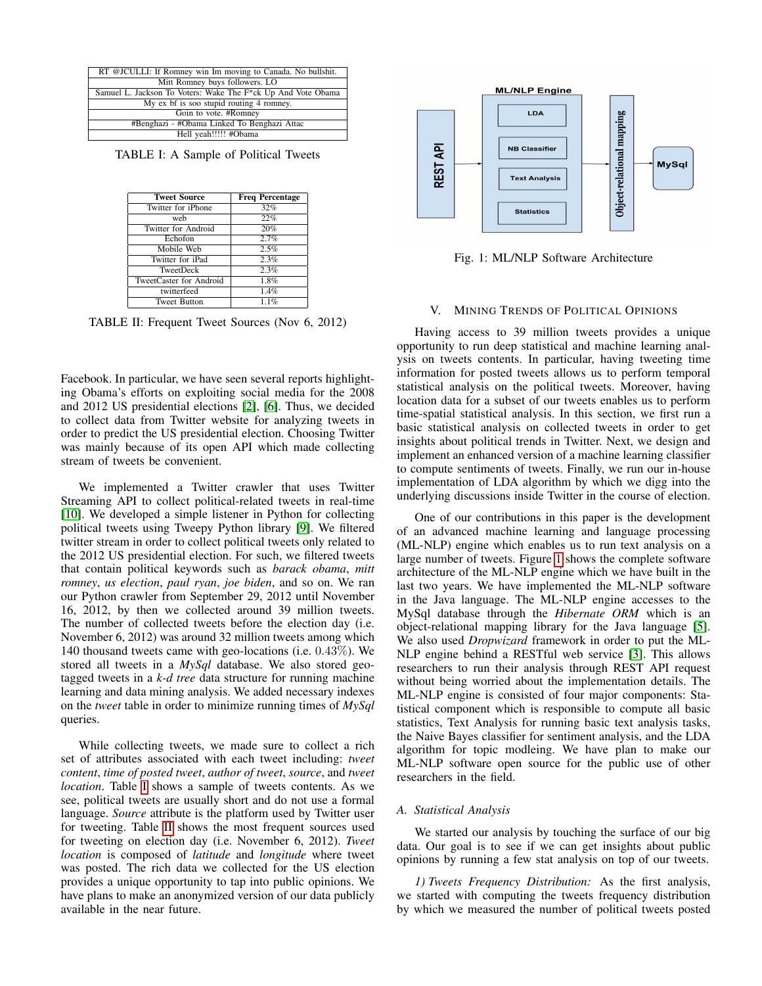<span id="page-3-1"></span>

| RT @JCULLI: If Romney win Im moving to Canada. No bullshit.  |
|--------------------------------------------------------------|
| Mitt Romney buys followers. LO                               |
| Samuel L. Jackson To Voters: Wake The F*ck Up And Vote Obama |
| My ex bf is soo stupid routing 4 romney.                     |
| Goin to vote. #Romney                                        |
| #Benghazi - #Obama Linked To Benghazi Attac                  |
| Hell yeah!!!!! #Obama                                        |
|                                                              |

<span id="page-3-2"></span>TABLE I: A Sample of Political Tweets

| <b>Tweet Source</b>     | <b>Freq Percentage</b> |
|-------------------------|------------------------|
| Twitter for iPhone      | 32%                    |
| web                     | 22%                    |
| Twitter for Android     | 20%                    |
| Echofon                 | 2.7%                   |
| Mobile Web              | 2.5%                   |
| Twitter for iPad        | 2.3%                   |
| TweetDeck               | 2.3%                   |
| TweetCaster for Android | 1.8%                   |
| twitterfeed             | 1.4%                   |
| <b>Tweet Button</b>     | 1.1%                   |

TABLE II: Frequent Tweet Sources (Nov 6, 2012)

Facebook. In particular, we have seen several reports highlighting Obama's efforts on exploiting social media for the 2008 and 2012 US presidential elections [\[2\]](#page-8-2), [\[6\]](#page-9-25). Thus, we decided to collect data from Twitter website for analyzing tweets in order to predict the US presidential election. Choosing Twitter was mainly because of its open API which made collecting stream of tweets be convenient.

We implemented a Twitter crawler that uses Twitter Streaming API to collect political-related tweets in real-time [\[10\]](#page-9-26). We developed a simple listener in Python for collecting political tweets using Tweepy Python library [\[9\]](#page-9-27). We filtered twitter stream in order to collect political tweets only related to the 2012 US presidential election. For such, we filtered tweets that contain political keywords such as *barack obama*, *mitt romney*, *us election*, *paul ryan*, *joe biden*, and so on. We ran our Python crawler from September 29, 2012 until November 16, 2012, by then we collected around 39 million tweets. The number of collected tweets before the election day (i.e. November 6, 2012) was around 32 million tweets among which 140 thousand tweets came with geo-locations (i.e. 0.43%). We stored all tweets in a *MySql* database. We also stored geotagged tweets in a *k-d tree* data structure for running machine learning and data mining analysis. We added necessary indexes on the *tweet* table in order to minimize running times of *MySql* queries.

While collecting tweets, we made sure to collect a rich set of attributes associated with each tweet including: *tweet content*, *time of posted tweet*, *author of tweet*, *source*, and *tweet location*. Table [I](#page-3-1) shows a sample of tweets contents. As we see, political tweets are usually short and do not use a formal language. *Source* attribute is the platform used by Twitter user for tweeting. Table [II](#page-3-2) shows the most frequent sources used for tweeting on election day (i.e. November 6, 2012). *Tweet location* is composed of *latitude* and *longitude* where tweet was posted. The rich data we collected for the US election provides a unique opportunity to tap into public opinions. We have plans to make an anonymized version of our data publicly available in the near future.

<span id="page-3-3"></span>

Fig. 1: ML/NLP Software Architecture

# V. MINING TRENDS OF POLITICAL OPINIONS

<span id="page-3-0"></span>Having access to 39 million tweets provides a unique opportunity to run deep statistical and machine learning analysis on tweets contents. In particular, having tweeting time information for posted tweets allows us to perform temporal statistical analysis on the political tweets. Moreover, having location data for a subset of our tweets enables us to perform time-spatial statistical analysis. In this section, we first run a basic statistical analysis on collected tweets in order to get insights about political trends in Twitter. Next, we design and implement an enhanced version of a machine learning classifier to compute sentiments of tweets. Finally, we run our in-house implementation of LDA algorithm by which we digg into the underlying discussions inside Twitter in the course of election.

One of our contributions in this paper is the development of an advanced machine learning and language processing (ML-NLP) engine which enables us to run text analysis on a large number of tweets. Figure [1](#page-3-3) shows the complete software architecture of the ML-NLP engine which we have built in the last two years. We have implemented the ML-NLP software in the Java language. The ML-NLP engine accesses to the MySql database through the *Hibernate ORM* which is an object-relational mapping library for the Java language [\[5\]](#page-8-3). We also used *Dropwizard* framework in order to put the ML-NLP engine behind a RESTful web service [\[3\]](#page-8-4). This allows researchers to run their analysis through REST API request without being worried about the implementation details. The ML-NLP engine is consisted of four major components: Statistical component which is responsible to compute all basic statistics, Text Analysis for running basic text analysis tasks, the Naive Bayes classifier for sentiment analysis, and the LDA algorithm for topic modleing. We have plan to make our ML-NLP software open source for the public use of other researchers in the field.

# *A. Statistical Analysis*

We started our analysis by touching the surface of our big data. Our goal is to see if we can get insights about public opinions by running a few stat analysis on top of our tweets.

*1) Tweets Frequency Distribution:* As the first analysis, we started with computing the tweets frequency distribution by which we measured the number of political tweets posted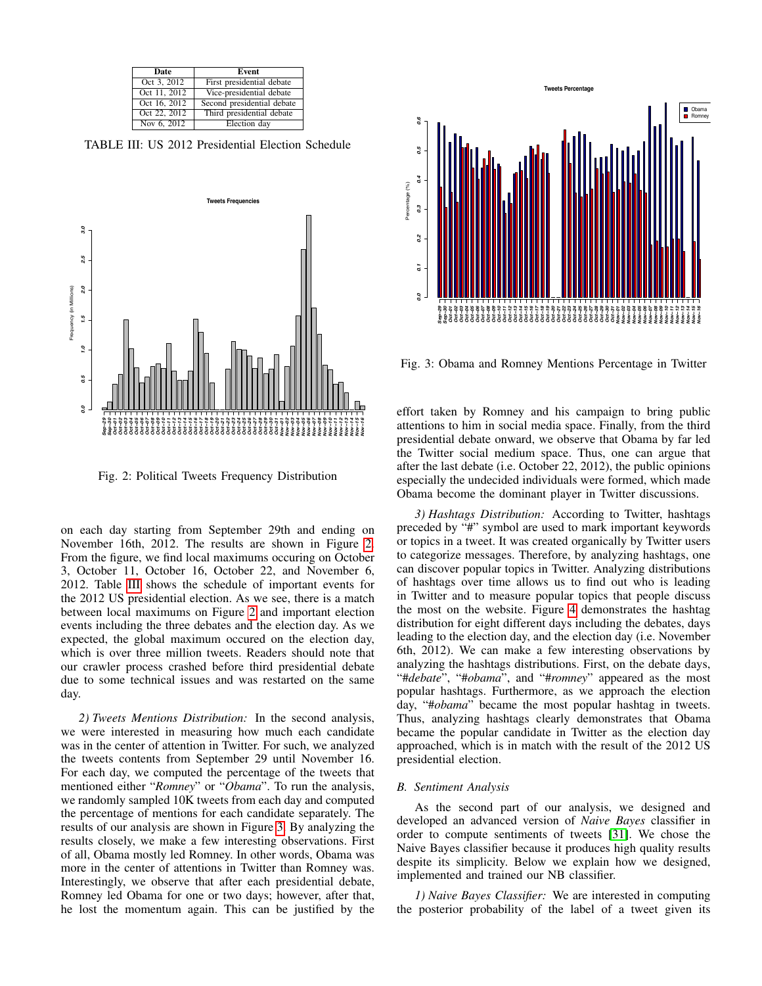<span id="page-4-1"></span>

| Date         | <b>Event</b>               |
|--------------|----------------------------|
| Oct 3, 2012  | First presidential debate  |
| Oct 11, 2012 | Vice-presidential debate   |
| Oct 16, 2012 | Second presidential debate |
| Oct 22, 2012 | Third presidential debate  |
| Nov 6, 2012  | Election day               |

TABLE III: US 2012 Presidential Election Schedule

<span id="page-4-0"></span>

Fig. 2: Political Tweets Frequency Distribution

on each day starting from September 29th and ending on November 16th, 2012. The results are shown in Figure [2.](#page-4-0) From the figure, we find local maximums occuring on October 3, October 11, October 16, October 22, and November 6, 2012. Table [III](#page-4-1) shows the schedule of important events for the 2012 US presidential election. As we see, there is a match between local maximums on Figure [2](#page-4-0) and important election events including the three debates and the election day. As we expected, the global maximum occured on the election day, which is over three million tweets. Readers should note that our crawler process crashed before third presidential debate due to some technical issues and was restarted on the same day.

*2) Tweets Mentions Distribution:* In the second analysis, we were interested in measuring how much each candidate was in the center of attention in Twitter. For such, we analyzed the tweets contents from September 29 until November 16. For each day, we computed the percentage of the tweets that mentioned either "*Romney*" or "*Obama*". To run the analysis, we randomly sampled 10K tweets from each day and computed the percentage of mentions for each candidate separately. The results of our analysis are shown in Figure [3.](#page-4-2) By analyzing the results closely, we make a few interesting observations. First of all, Obama mostly led Romney. In other words, Obama was more in the center of attentions in Twitter than Romney was. Interestingly, we observe that after each presidential debate, Romney led Obama for one or two days; however, after that, he lost the momentum again. This can be justified by the

<span id="page-4-2"></span>

Fig. 3: Obama and Romney Mentions Percentage in Twitter

effort taken by Romney and his campaign to bring public attentions to him in social media space. Finally, from the third presidential debate onward, we observe that Obama by far led the Twitter social medium space. Thus, one can argue that after the last debate (i.e. October 22, 2012), the public opinions especially the undecided individuals were formed, which made Obama become the dominant player in Twitter discussions.

*3) Hashtags Distribution:* According to Twitter, hashtags preceded by "#" symbol are used to mark important keywords or topics in a tweet. It was created organically by Twitter users to categorize messages. Therefore, by analyzing hashtags, one can discover popular topics in Twitter. Analyzing distributions of hashtags over time allows us to find out who is leading in Twitter and to measure popular topics that people discuss the most on the website. Figure [4](#page-5-0) demonstrates the hashtag distribution for eight different days including the debates, days leading to the election day, and the election day (i.e. November 6th, 2012). We can make a few interesting observations by analyzing the hashtags distributions. First, on the debate days, "#*debate*", "#*obama*", and "#*romney*" appeared as the most popular hashtags. Furthermore, as we approach the election day, "#*obama*" became the most popular hashtag in tweets. Thus, analyzing hashtags clearly demonstrates that Obama became the popular candidate in Twitter as the election day approached, which is in match with the result of the 2012 US presidential election.

# *B. Sentiment Analysis*

As the second part of our analysis, we designed and developed an advanced version of *Naive Bayes* classifier in order to compute sentiments of tweets [\[31\]](#page-9-28). We chose the Naive Bayes classifier because it produces high quality results despite its simplicity. Below we explain how we designed, implemented and trained our NB classifier.

*1) Naive Bayes Classifier:* We are interested in computing the posterior probability of the label of a tweet given its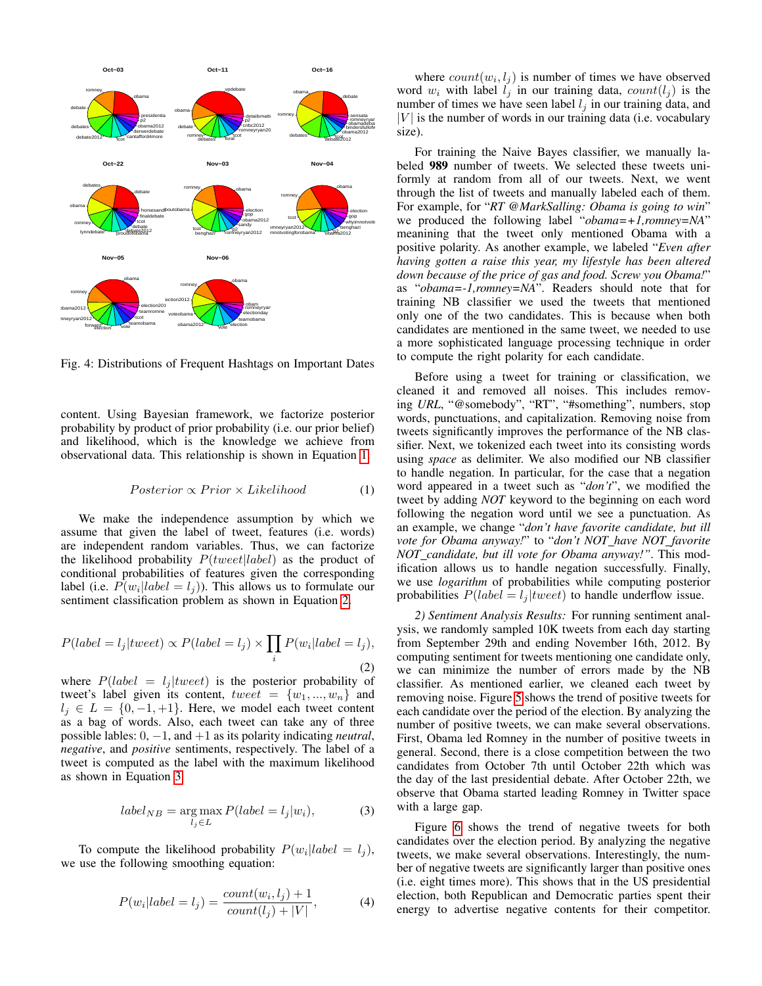<span id="page-5-0"></span>

Fig. 4: Distributions of Frequent Hashtags on Important Dates

content. Using Bayesian framework, we factorize posterior probability by product of prior probability (i.e. our prior belief) and likelihood, which is the knowledge we achieve from observational data. This relationship is shown in Equation [1.](#page-5-1)

<span id="page-5-1"></span>
$$
Posterior \propto Prior \times Likelihood \tag{1}
$$

We make the independence assumption by which we assume that given the label of tweet, features (i.e. words) are independent random variables. Thus, we can factorize the likelihood probability  $P(tweet|label)$  as the product of conditional probabilities of features given the corresponding label (i.e.  $P(w_i | label = l_j)$ ). This allows us to formulate our sentiment classification problem as shown in Equation [2.](#page-5-2)

<span id="page-5-2"></span>
$$
P(label = l_j | twoet) \propto P(label = l_j) \times \prod_i P(w_i | label = l_j),
$$
\n(2)

where  $P(label = l_j | twee)$  is the posterior probability of tweet's label given its content,  $tweet = \{w_1, ..., w_n\}$  and  $l_i \in L = \{0, -1, +1\}$ . Here, we model each tweet content as a bag of words. Also, each tweet can take any of three possible lables: 0, −1, and +1 as its polarity indicating *neutral*, *negative*, and *positive* sentiments, respectively. The label of a tweet is computed as the label with the maximum likelihood as shown in Equation [3.](#page-5-3)

<span id="page-5-3"></span>
$$
label_{NB} = \underset{l_j \in L}{\arg \max} P(label = l_j | w_i), \tag{3}
$$

To compute the likelihood probability  $P(w_i|label = l_j)$ , we use the following smoothing equation:

$$
P(w_i|label = l_j) = \frac{count(w_i, l_j) + 1}{count(l_j) + |V|},
$$
\n(4)

where  $count(w_i, l_j)$  is number of times we have observed word  $w_i$  with label  $l_j$  in our training data,  $count(l_j)$  is the number of times we have seen label  $l_i$  in our training data, and  $|V|$  is the number of words in our training data (i.e. vocabulary size).

 $W_{\text{symmatrix}}^{\text{loop}}$  we produced the following label "*obama=+1,romney=NA*" For training the Naive Bayes classifier, we manually labeled 989 number of tweets. We selected these tweets uniformly at random from all of our tweets. Next, we went through the list of tweets and manually labeled each of them. For example, for "*RT @MarkSalling: Obama is going to win*" meanining that the tweet only mentioned Obama with a positive polarity. As another example, we labeled "*Even after having gotten a raise this year, my lifestyle has been altered down because of the price of gas and food. Screw you Obama!*" as "*obama=-1,romney=NA*". Readers should note that for training NB classifier we used the tweets that mentioned only one of the two candidates. This is because when both candidates are mentioned in the same tweet, we needed to use a more sophisticated language processing technique in order to compute the right polarity for each candidate.

> Before using a tweet for training or classification, we cleaned it and removed all noises. This includes removing *URL*, "@somebody", "RT", "#something", numbers, stop words, punctuations, and capitalization. Removing noise from tweets significantly improves the performance of the NB classifier. Next, we tokenized each tweet into its consisting words using *space* as delimiter. We also modified our NB classifier to handle negation. In particular, for the case that a negation word appeared in a tweet such as "*don't*", we modified the tweet by adding *NOT* keyword to the beginning on each word following the negation word until we see a punctuation. As an example, we change "*don't have favorite candidate, but ill vote for Obama anyway!*" to "*don't NOT have NOT favorite NOT candidate, but ill vote for Obama anyway!"*. This modification allows us to handle negation successfully. Finally, we use *logarithm* of probabilities while computing posterior probabilities  $P(label = l<sub>i</sub>|tweet)$  to handle underflow issue.

> *2) Sentiment Analysis Results:* For running sentiment analysis, we randomly sampled 10K tweets from each day starting from September 29th and ending November 16th, 2012. By computing sentiment for tweets mentioning one candidate only, we can minimize the number of errors made by the NB classifier. As mentioned earlier, we cleaned each tweet by removing noise. Figure [5](#page-6-0) shows the trend of positive tweets for each candidate over the period of the election. By analyzing the number of positive tweets, we can make several observations. First, Obama led Romney in the number of positive tweets in general. Second, there is a close competition between the two candidates from October 7th until October 22th which was the day of the last presidential debate. After October 22th, we observe that Obama started leading Romney in Twitter space with a large gap.

> Figure [6](#page-6-1) shows the trend of negative tweets for both candidates over the election period. By analyzing the negative tweets, we make several observations. Interestingly, the number of negative tweets are significantly larger than positive ones (i.e. eight times more). This shows that in the US presidential election, both Republican and Democratic parties spent their energy to advertise negative contents for their competitor.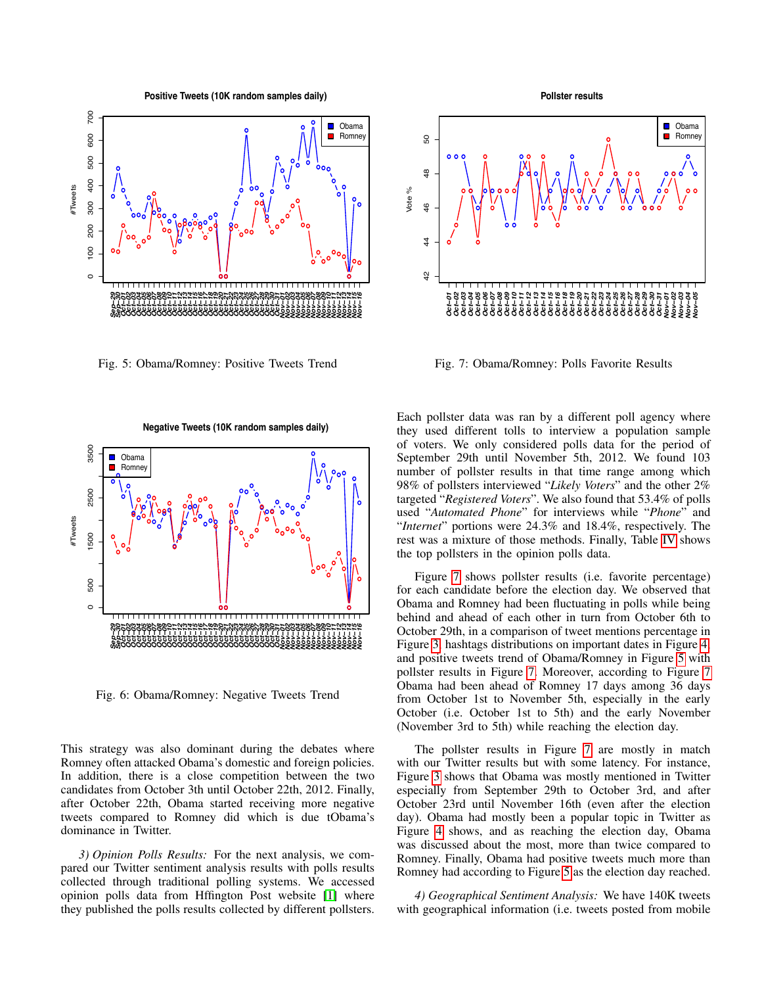**Positive Tweets (10K random samples daily)**

<span id="page-6-0"></span>

<span id="page-6-1"></span>Fig. 5: Obama/Romney: Positive Tweets Trend

<span id="page-6-2"></span>

Fig. 7: Obama/Romney: Polls Favorite Results



Fig. 6: Obama/Romney: Negative Tweets Trend

This strategy was also dominant during the debates where Romney often attacked Obama's domestic and foreign policies. In addition, there is a close competition between the two candidates from October 3th until October 22th, 2012. Finally, after October 22th, Obama started receiving more negative tweets compared to Romney did which is due tObama's dominance in Twitter.

*3) Opinion Polls Results:* For the next analysis, we compared our Twitter sentiment analysis results with polls results collected through traditional polling systems. We accessed opinion polls data from Hffington Post website [\[1\]](#page-8-5) where Each pollster data was ran by a different poll agency where they used different tolls to interview a population sample of voters. We only considered polls data for the period of September 29th until November 5th, 2012. We found 103 number of pollster results in that time range among which 98% of pollsters interviewed "*Likely Voters*" and the other 2% targeted "*Registered Voters*". We also found that 53.4% of polls used "*Automated Phone*" for interviews while "*Phone*" and "*Internet*" portions were 24.3% and 18.4%, respectively. The rest was a mixture of those methods. Finally, Table [IV](#page-7-0) shows the top pollsters in the opinion polls data.

Figure [7](#page-6-2) shows pollster results (i.e. favorite percentage) for each candidate before the election day. We observed that Obama and Romney had been fluctuating in polls while being behind and ahead of each other in turn from October 6th to October 29th, in a comparison of tweet mentions percentage in Figure [3,](#page-4-2) hashtags distributions on important dates in Figure [4,](#page-5-0) and positive tweets trend of Obama/Romney in Figure [5](#page-6-0) with pollster results in Figure [7.](#page-6-2) Moreover, according to Figure [7](#page-6-2) Obama had been ahead of Romney 17 days among 36 days from October 1st to November 5th, especially in the early October (i.e. October 1st to 5th) and the early November (November 3rd to 5th) while reaching the election day.

The pollster results in Figure [7](#page-6-2) are mostly in match with our Twitter results but with some latency. For instance, Figure [3](#page-4-2) shows that Obama was mostly mentioned in Twitter especially from September 29th to October 3rd, and after October 23rd until November 16th (even after the election day). Obama had mostly been a popular topic in Twitter as Figure [4](#page-5-0) shows, and as reaching the election day, Obama was discussed about the most, more than twice compared to Romney. Finally, Obama had positive tweets much more than Romney had according to Figure [5](#page-6-0) as the election day reached.

*4) Geographical Sentiment Analysis:* We have 140K tweets with geographical information (i.e. tweets posted from mobile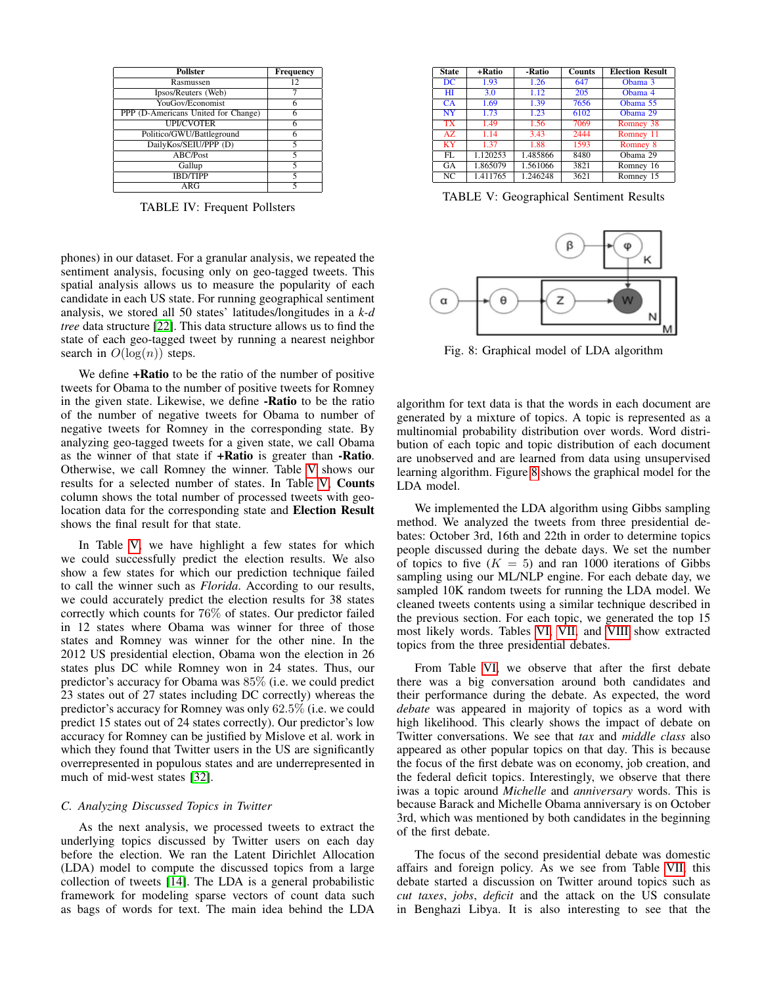<span id="page-7-0"></span>

| <b>Pollster</b>                     | <b>Frequency</b> |
|-------------------------------------|------------------|
| Rasmussen                           | 12               |
| Ipsos/Reuters (Web)                 |                  |
| YouGov/Economist                    |                  |
| PPP (D-Americans United for Change) |                  |
| <b>UPI/CVOTER</b>                   |                  |
| Politico/GWU/Battleground           |                  |
| DailyKos/SEIU/PPP (D)               | 5                |
| ABC/Post                            | 5                |
| Gallup                              | 5                |
| <b>IBD/TIPP</b>                     |                  |
| ARG                                 |                  |

TABLE IV: Frequent Pollsters

phones) in our dataset. For a granular analysis, we repeated the sentiment analysis, focusing only on geo-tagged tweets. This spatial analysis allows us to measure the popularity of each candidate in each US state. For running geographical sentiment analysis, we stored all 50 states' latitudes/longitudes in a *k-d tree* data structure [\[22\]](#page-9-29). This data structure allows us to find the state of each geo-tagged tweet by running a nearest neighbor search in  $O(\log(n))$  steps.

We define  $+Ratio$  to be the ratio of the number of positive tweets for Obama to the number of positive tweets for Romney in the given state. Likewise, we define -Ratio to be the ratio of the number of negative tweets for Obama to number of negative tweets for Romney in the corresponding state. By analyzing geo-tagged tweets for a given state, we call Obama as the winner of that state if +Ratio is greater than -Ratio. Otherwise, we call Romney the winner. Table [V](#page-7-1) shows our results for a selected number of states. In Table [V,](#page-7-1) Counts column shows the total number of processed tweets with geolocation data for the corresponding state and Election Result shows the final result for that state.

In Table [V,](#page-7-1) we have highlight a few states for which we could successfully predict the election results. We also show a few states for which our prediction technique failed to call the winner such as *Florida*. According to our results, we could accurately predict the election results for 38 states correctly which counts for 76% of states. Our predictor failed in 12 states where Obama was winner for three of those states and Romney was winner for the other nine. In the 2012 US presidential election, Obama won the election in 26 states plus DC while Romney won in 24 states. Thus, our predictor's accuracy for Obama was 85% (i.e. we could predict 23 states out of 27 states including DC correctly) whereas the predictor's accuracy for Romney was only 62.5% (i.e. we could predict 15 states out of 24 states correctly). Our predictor's low accuracy for Romney can be justified by Mislove et al. work in which they found that Twitter users in the US are significantly overrepresented in populous states and are underrepresented in much of mid-west states [\[32\]](#page-9-13).

## *C. Analyzing Discussed Topics in Twitter*

As the next analysis, we processed tweets to extract the underlying topics discussed by Twitter users on each day before the election. We ran the Latent Dirichlet Allocation (LDA) model to compute the discussed topics from a large collection of tweets [\[14\]](#page-9-30). The LDA is a general probabilistic framework for modeling sparse vectors of count data such as bags of words for text. The main idea behind the LDA

<span id="page-7-1"></span>

| <b>State</b>           | +Ratio   | -Ratio   | <b>Counts</b> | <b>Election Result</b> |
|------------------------|----------|----------|---------------|------------------------|
| $\overline{DC}$        | 1.93     | 1.26     | 647           | Obama 3                |
| HТ                     | 3.0      | 1.12     | 205           | Obama 4                |
| CA                     | 1.69     | 1.39     | 7656          | Obama 55               |
| $\overline{\text{NY}}$ | 1.73     | 1.23     | 6102          | Obama 29               |
| <b>TX</b>              | 1.49     | 1.56     | 7069          | Romney 38              |
| AZ.                    | 1.14     | 3.43     | 2444          | Romney 11              |
| <b>KY</b>              | 137      | 1.88     | 1593          | Romney 8               |
| FL.                    | 1.120253 | 1.485866 | 8480          | Obama 29               |
| GA                     | 1.865079 | 1.561066 | 3821          | Romney 16              |
| NC                     | 1.411765 | 1.246248 | 3621          | Romney 15              |

TABLE V: Geographical Sentiment Results

<span id="page-7-2"></span>

Fig. 8: Graphical model of LDA algorithm

algorithm for text data is that the words in each document are generated by a mixture of topics. A topic is represented as a multinomial probability distribution over words. Word distribution of each topic and topic distribution of each document are unobserved and are learned from data using unsupervised learning algorithm. Figure [8](#page-7-2) shows the graphical model for the LDA model.

We implemented the LDA algorithm using Gibbs sampling method. We analyzed the tweets from three presidential debates: October 3rd, 16th and 22th in order to determine topics people discussed during the debate days. We set the number of topics to five  $(K = 5)$  and ran 1000 iterations of Gibbs sampling using our ML/NLP engine. For each debate day, we sampled 10K random tweets for running the LDA model. We cleaned tweets contents using a similar technique described in the previous section. For each topic, we generated the top 15 most likely words. Tables [VI,](#page-8-6) [VII,](#page-8-7) and [VIII](#page-8-8) show extracted topics from the three presidential debates.

From Table [VI,](#page-8-6) we observe that after the first debate there was a big conversation around both candidates and their performance during the debate. As expected, the word *debate* was appeared in majority of topics as a word with high likelihood. This clearly shows the impact of debate on Twitter conversations. We see that *tax* and *middle class* also appeared as other popular topics on that day. This is because the focus of the first debate was on economy, job creation, and the federal deficit topics. Interestingly, we observe that there iwas a topic around *Michelle* and *anniversary* words. This is because Barack and Michelle Obama anniversary is on October 3rd, which was mentioned by both candidates in the beginning of the first debate.

The focus of the second presidential debate was domestic affairs and foreign policy. As we see from Table [VII,](#page-8-7) this debate started a discussion on Twitter around topics such as *cut taxes*, *jobs*, *deficit* and the attack on the US consulate in Benghazi Libya. It is also interesting to see that the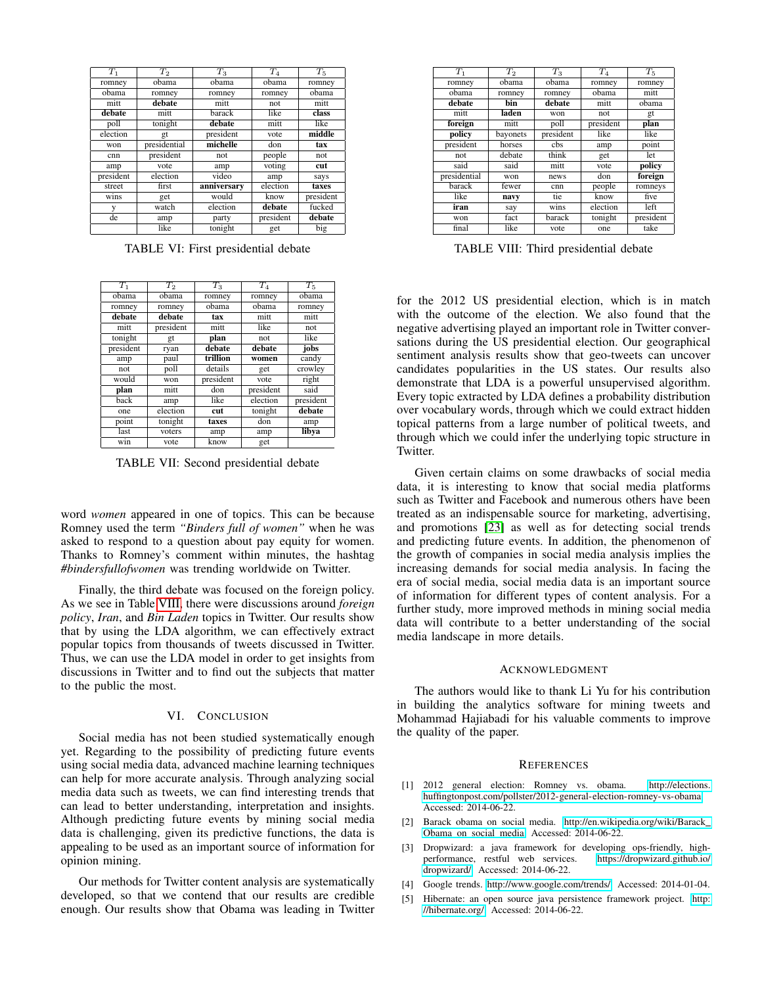<span id="page-8-6"></span>

| $T_1$     | T <sub>2</sub> | $T_3$       | $T_{4}$   | $T_5$     |
|-----------|----------------|-------------|-----------|-----------|
| romney    | obama          | obama       | obama     | romney    |
| obama     | romney         | romney      | romney    | obama     |
| mitt      | debate         | mitt        | not       | mitt      |
| debate    | mitt           | barack      | like      | class     |
| poll      | tonight        | debate      | mitt      | like      |
| election  | gt             | president   | vote      | middle    |
| won       | presidential   | michelle    | don       | tax       |
| cnn       | president      | not         | people    | not       |
| amp       | vote           | amp         | voting    | cut       |
| president | election       | video       | amp       | says      |
| street    | first          | anniversary | election  | taxes     |
| wins      | get            | would       | know      | president |
| y         | watch          | election    | debate    | fucked    |
| de        | amp            | party       | president | debate    |
|           | like           | tonight     | get       | big       |

TABLE VI: First presidential debate

<span id="page-8-7"></span>

| $T_1$     | $T_2$     | $T_3$     | $T_{4}$   | $T_{5}$   |
|-----------|-----------|-----------|-----------|-----------|
| obama     | obama     | romney    | romney    | obama     |
| romney    | romney    | obama     | obama     | romney    |
| debate    | debate    | tax       | mitt      | mitt      |
| mitt      | president | mitt      | like      | not       |
| tonight   | gt        | plan      | not       | like      |
| president | ryan      | debate    | debate    | jobs      |
| amp       | paul      | trillion  | women     | candy     |
| not       | poll      | details   | get       | crowley   |
| would     | won       | president | vote      | right     |
| plan      | mitt      | don       | president | said      |
| back      | amp       | like      | election  | president |
| one       | election  | cut       | tonight   | debate    |
| point     | tonight   | taxes     | don       | amp       |
| last      | voters    | amp       | amp       | libya     |
| win       | vote      | know      | get       |           |

TABLE VII: Second presidential debate

word *women* appeared in one of topics. This can be because Romney used the term *"Binders full of women"* when he was asked to respond to a question about pay equity for women. Thanks to Romney's comment within minutes, the hashtag *#bindersfullofwomen* was trending worldwide on Twitter.

Finally, the third debate was focused on the foreign policy. As we see in Table [VIII,](#page-8-8) there were discussions around *foreign policy*, *Iran*, and *Bin Laden* topics in Twitter. Our results show that by using the LDA algorithm, we can effectively extract popular topics from thousands of tweets discussed in Twitter. Thus, we can use the LDA model in order to get insights from discussions in Twitter and to find out the subjects that matter to the public the most.

### VI. CONCLUSION

<span id="page-8-0"></span>Social media has not been studied systematically enough yet. Regarding to the possibility of predicting future events using social media data, advanced machine learning techniques can help for more accurate analysis. Through analyzing social media data such as tweets, we can find interesting trends that can lead to better understanding, interpretation and insights. Although predicting future events by mining social media data is challenging, given its predictive functions, the data is appealing to be used as an important source of information for opinion mining.

Our methods for Twitter content analysis are systematically developed, so that we contend that our results are credible enough. Our results show that Obama was leading in Twitter

<span id="page-8-8"></span>

| $T_1$        | $T_2$    | $T_3$     | $T_{4}$   | $T_5$     |
|--------------|----------|-----------|-----------|-----------|
| romney       | obama    | obama     | romney    | romney    |
| obama        | romney   | romney    | obama     | mitt      |
| debate       | bin      | debate    | mitt      | obama     |
| mitt         | laden    | won       | not       | gt        |
| foreign      | mitt     | poll      | president | plan      |
| policy       | bayonets | president | like      | like      |
| president    | horses   | cbs       | amp       | point     |
| not          | debate   | think     | get       | let       |
| said         | said     | mitt      | vote      | policy    |
| presidential | won      | news      | don       | foreign   |
| barack       | fewer    | cnn       | people    | romneys   |
| like         | navy     | tie       | know      | five      |
| iran         | say      | wins      | election  | left      |
| won          | fact     | barack    | tonight   | president |
| final        | like     | vote      | one       | take      |

TABLE VIII: Third presidential debate

for the 2012 US presidential election, which is in match with the outcome of the election. We also found that the negative advertising played an important role in Twitter conversations during the US presidential election. Our geographical sentiment analysis results show that geo-tweets can uncover candidates popularities in the US states. Our results also demonstrate that LDA is a powerful unsupervised algorithm. Every topic extracted by LDA defines a probability distribution over vocabulary words, through which we could extract hidden topical patterns from a large number of political tweets, and through which we could infer the underlying topic structure in Twitter.

Given certain claims on some drawbacks of social media data, it is interesting to know that social media platforms such as Twitter and Facebook and numerous others have been treated as an indispensable source for marketing, advertising, and promotions [\[23\]](#page-9-7) as well as for detecting social trends and predicting future events. In addition, the phenomenon of the growth of companies in social media analysis implies the increasing demands for social media analysis. In facing the era of social media, social media data is an important source of information for different types of content analysis. For a further study, more improved methods in mining social media data will contribute to a better understanding of the social media landscape in more details.

### ACKNOWLEDGMENT

The authors would like to thank Li Yu for his contribution in building the analytics software for mining tweets and Mohammad Hajiabadi for his valuable comments to improve the quality of the paper.

### **REFERENCES**

- <span id="page-8-5"></span>[1] 2012 general election: Romney vs. obama. [http://elections.](http://elections.huffingtonpost.com/pollster/2012-general-election-romney-vs-obama) [huffingtonpost.com/pollster/2012-general-election-romney-vs-obama.](http://elections.huffingtonpost.com/pollster/2012-general-election-romney-vs-obama) Accessed: 2014-06-22.
- <span id="page-8-2"></span>[2] Barack obama on social media. [http://en.wikipedia.org/wiki/Barack](http://en.wikipedia.org/wiki/Barack_Obama_on_social_media) [Obama](http://en.wikipedia.org/wiki/Barack_Obama_on_social_media) on social media. Accessed: 2014-06-22.
- <span id="page-8-4"></span>[3] Dropwizard: a java framework for developing ops-friendly, highperformance, restful web services. [dropwizard/.](https://dropwizard.github.io/dropwizard/) Accessed: 2014-06-22.
- <span id="page-8-1"></span>[4] Google trends. [http://www.google.com/trends/.](http://www.google.com/trends/) Accessed: 2014-01-04.
- <span id="page-8-3"></span>[5] Hibernate: an open source java persistence framework project. [http:](http://hibernate.org/) [//hibernate.org/.](http://hibernate.org/) Accessed: 2014-06-22.